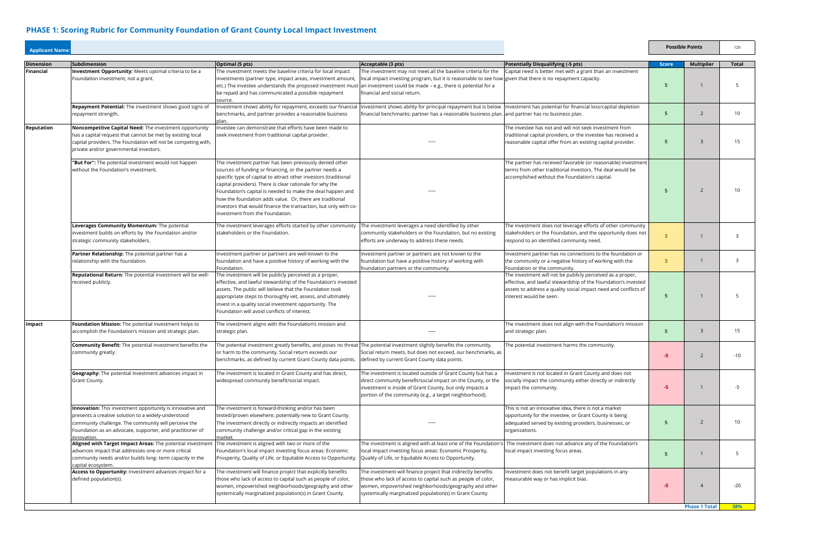| <b>Applicant Name:</b> |                                                                                                                                                                                                                                                      |                                                                                                                                                                                                                                                                                                                                                                                                                                                                                    |                                                                                                                                                                                                                                                                             |                                                                                                                                                                                                                            | <b>Possible Points</b> |                      | 120          |  |
|------------------------|------------------------------------------------------------------------------------------------------------------------------------------------------------------------------------------------------------------------------------------------------|------------------------------------------------------------------------------------------------------------------------------------------------------------------------------------------------------------------------------------------------------------------------------------------------------------------------------------------------------------------------------------------------------------------------------------------------------------------------------------|-----------------------------------------------------------------------------------------------------------------------------------------------------------------------------------------------------------------------------------------------------------------------------|----------------------------------------------------------------------------------------------------------------------------------------------------------------------------------------------------------------------------|------------------------|----------------------|--------------|--|
| <b>Dimension</b>       | <b>Subdimension</b>                                                                                                                                                                                                                                  | Optimal (5 pts)                                                                                                                                                                                                                                                                                                                                                                                                                                                                    | Acceptable (3 pts)                                                                                                                                                                                                                                                          | <b>Potentially Disqualifying (-5 pts)</b>                                                                                                                                                                                  | <b>Score</b>           | <b>Multiplier</b>    | <b>Total</b> |  |
| Financial              | Investment Opportunity: Meets optimal criteria to be a<br>Foundation investment, not a grant.                                                                                                                                                        | The investment meets the baseline criteria for local impact<br>investments (partner type, impact areas, investment amount,<br>etc.) The investee understands the proposed investment must<br>be repaid and has communicated a possible repayment<br>source                                                                                                                                                                                                                         | The investment may not meet all the baseline criteria for the<br>local impact investing program, but it is reasonable to see how given that there is no repayment capacity.<br>an investment could be made - e.g., there is potential for a<br>financial and social return. | Capital need is better met with a grant than an investment                                                                                                                                                                 | -5                     |                      |              |  |
|                        | Repayment Potential: The investment shows good signs of<br>repayment strength.                                                                                                                                                                       | Investment shows ability for repayment, exceeds our financial<br>benchmarks, and partner provides a reasonable business<br>plan.                                                                                                                                                                                                                                                                                                                                                   | Investment shows ability for principal repayment but is below<br>financial benchmarks; partner has a reasonable business plan. and partner has no business plan.                                                                                                            | Investment has potential for financial loss/capital depletion                                                                                                                                                              | G                      | 2                    | 10           |  |
| Reputation             | Noncompetitve Capital Need: The investment opportunity<br>has a capital request that cannot be met by existing local<br>capital providers. The Foundation will not be competing with,<br>private and/or governmental investors.                      | Investee can demonstrate that efforts have been made to<br>seek investment from traditional capital provider.                                                                                                                                                                                                                                                                                                                                                                      |                                                                                                                                                                                                                                                                             | The investee has not and will not seek investment from<br>traditional capital providers, or the investee has received a<br>reasonable capital offer from an existing capital provider.                                     | 5                      | $\mathbf{R}$         | 15           |  |
|                        | "But For": The potential investment would not happen<br>without the Foundation's investment.                                                                                                                                                         | The investment partner has been previously denied other<br>sources of funding or financing, or the partner needs a<br>specific type of capital to attract other investors (traditional<br>capital providers). There is clear rationale for why the<br>Foundation's capital is needed to make the deal happen and<br>how the foundation adds value. Or, there are traditional<br>investors that would finance the transaction, but only with co-<br>investment from the Foundation. |                                                                                                                                                                                                                                                                             | The partner has received favorable (or reasonable) investment<br>terms from other traditional investors. The deal would be<br>accomplished without the Foundation's capital.                                               |                        | $\overline{2}$       | 10           |  |
|                        | Leverages Community Momentum: The potential<br>investment builds on efforts by the Foundation and/or<br>strategic community stakeholders.                                                                                                            | The investment leverages efforts started by other community<br>stakeholders or the Foundation.                                                                                                                                                                                                                                                                                                                                                                                     | The investment leverages a need identified by other<br>community stakeholders or the Foundation, but no existing<br>efforts are underway to address these needs.                                                                                                            | The investment does not leverage efforts of other community<br>stakeholders or the Foundation, and the opportunity does not<br>respond to an identified community need.                                                    | 3                      |                      | 3            |  |
|                        | Partner Relationship: The potential partner has a<br>relationship with the foundation.                                                                                                                                                               | Investment partner or partners are well-known to the<br>foundation and have a positive history of working with the<br>Foundation.                                                                                                                                                                                                                                                                                                                                                  | Investment partner or partners are not known to the<br>foundation but have a positive history of working with<br>foundation partners or the community.                                                                                                                      | Investment partner has no connections to the foundation or<br>the community or a negative history of working with the<br>Foundation or the community.                                                                      | 3                      |                      | 3            |  |
|                        | Reputational Return: The potential investment will be well-<br>received publicly.                                                                                                                                                                    | The investment will be publicly perceived as a proper,<br>effective, and lawful stewardship of the Foundation's invested<br>assets. The public will believe that the Foundation took<br>appropriate steps to thoroughly vet, assess, and ultimately<br>invest in a quality social investment opportunity. The<br>Foundation will avoid conflicts of interest.                                                                                                                      |                                                                                                                                                                                                                                                                             | The investment will not be publicly perceived as a proper,<br>effective, and lawful stewardship of the Foundation's invested<br>assets to address a quality social impact need and conflicts of<br>interest would be seen. |                        |                      |              |  |
| Impact                 | Foundation Mission: The potential investment helps to<br>accomplish the Foundation's mission and strategic plan.                                                                                                                                     | The investment aligns with the Foundation's mission and<br>strategic plan.                                                                                                                                                                                                                                                                                                                                                                                                         |                                                                                                                                                                                                                                                                             | The investment does not align with the Foundation's mission<br>and strategic plan.                                                                                                                                         |                        | 3                    | 15           |  |
|                        | <b>Community Benefit:</b> The potential investment benefits the<br>community greatly.                                                                                                                                                                | The potential investment greatly benefits, and poses no threat The potential investment slightly benefits the community.<br>or harm to the community. Social return exceeds our<br>benchmarks, as defined by current Grant County data points.                                                                                                                                                                                                                                     | Social return meets, but does not exceed, our benchmarks, as<br>defined by current Grant County data points.                                                                                                                                                                | The potential investment harms the community.                                                                                                                                                                              | -5                     | 2                    | $-10$        |  |
|                        | Geography: The potential investment advances impact in<br>Grant County.                                                                                                                                                                              | The investment is located in Grant County and has direct,<br>widespread community benefit/social impact.                                                                                                                                                                                                                                                                                                                                                                           | The investment is located outside of Grant County but has a<br>direct community benefit/social impact on the County, or the<br>investment is inside of Grant County, but only impacts a<br>portion of the community (e.g., a target neighborhood).                          | nvestment is not located in Grant County and does not<br>socially impact the community either directly or indirectly<br>impact the community.                                                                              | -5                     |                      | -5           |  |
|                        | Innovation: This investment opportunity is innovative and<br>presents a creative solution to a widely-understood<br>community challenge. The community will perceive the<br>Foundation as an advocate, supporter, and practitioner of<br>innovation. | The investment is forward-thinking and/or has been<br>tested/proven elsewhere; potentially new to Grant County.<br>The investment directly or indirectly impacts an idenitfied<br>community challenge and/or critical gap in the existing<br>market.                                                                                                                                                                                                                               | ---                                                                                                                                                                                                                                                                         | This is not an innovative idea, there is not a market<br>opportunity for the investee, or Grant County is being<br>adequated served by existing providers, businesses, or<br>organizations.                                | 5                      | $\overline{2}$       | 10           |  |
|                        | Aligned with Target Impact Areas: The potential investment<br>advances impact that addresses one or more critical<br>community needs and/or builds long-term capacity in the<br>capital ecosystem.                                                   | The investment is aligned with two or more of the<br>Foundation's local impact investing focus areas: Economic<br>Prosperity, Quality of Life, or Equitable Access to Opportunity.                                                                                                                                                                                                                                                                                                 | The investment is aligned with at least one of the Foundation's<br>local impact investing focus areas: Economic Prosperity,<br>Quality of Life, or Equitable Access to Opportunity.                                                                                         | The investment does not advance any of the Foundation's<br>local impact investing focus areas.                                                                                                                             | 5                      |                      | 5            |  |
|                        | Access to Opportunity: Investment advances impact for a<br>defined population(s).                                                                                                                                                                    | The investment will finance project that explicitly benefits<br>those who lack of access to capital such as people of color,<br>women, impoverished neighborhoods/geography and other<br>systemically marginalized population(s) in Grant County.                                                                                                                                                                                                                                  | The investment will finance project that indirectly benefits<br>those who lack of access to capital such as people of color,<br>women, impoverished neighborhoods/geography and other<br>systemically marginalized population(s) in Grant County.                           | nvestment does not benefit target populations in any<br>measurable way or has implicit bias.                                                                                                                               | -5.                    |                      | $-20$        |  |
|                        |                                                                                                                                                                                                                                                      |                                                                                                                                                                                                                                                                                                                                                                                                                                                                                    |                                                                                                                                                                                                                                                                             |                                                                                                                                                                                                                            |                        | <b>Phase 1 Total</b> | 38%          |  |

## **PHASE 1: Scoring Rubric for Community Foundation of Grant County Local Impact Investment**